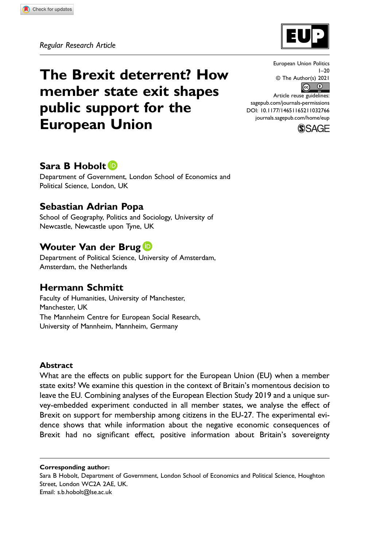

# The Brexit deterrent? How member state exit shapes public support for the European Union

European Union Politics  $1 - 20$ © The Author(s) 2021  $\bullet$   $\bullet$ 

Article reuse guidelines: [sagepub.com/journals-permissions](https://us.sagepub.com/en-us/journals-permissions) DOI: 10.1177/14651165211032766 [journals.sagepub.com/home/eup](https://journals.sagepub.com/home/eup)



# Sara B Hobolt<sup>D</sup>

Department of Government, London School of Economics and Political Science, London, UK

# Sebastian Adrian Popa

School of Geography, Politics and Sociology, University of Newcastle, Newcastle upon Tyne, UK

# Wouter Van der Brug<sup>D</sup>

Department of Political Science, University of Amsterdam, Amsterdam, the Netherlands

# Hermann Schmitt

Faculty of Humanities, University of Manchester, Manchester, UK The Mannheim Centre for European Social Research, University of Mannheim, Mannheim, Germany

### **Abstract**

What are the effects on public support for the European Union (EU) when a member state exits? We examine this question in the context of Britain's momentous decision to leave the EU. Combining analyses of the European Election Study 2019 and a unique survey-embedded experiment conducted in all member states, we analyse the effect of Brexit on support for membership among citizens in the EU-27. The experimental evidence shows that while information about the negative economic consequences of Brexit had no significant effect, positive information about Britain's sovereignty

Corresponding author:

Sara B Hobolt, Department of Government, London School of Economics and Political Science, Houghton Street, London WC2A 2AE, UK. Email: [s.b.hobolt@lse.ac.uk](mailto:s.b.hobolt@lse.ac.uk)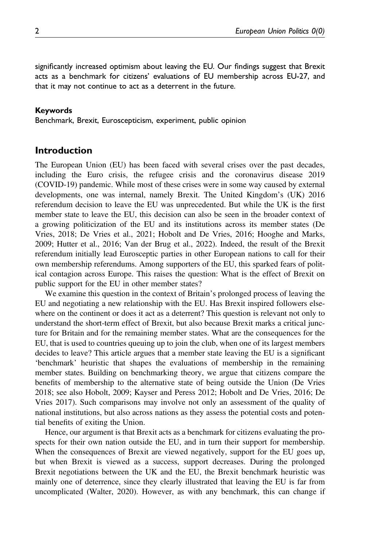significantly increased optimism about leaving the EU. Our findings suggest that Brexit acts as a benchmark for citizens' evaluations of EU membership across EU-27, and that it may not continue to act as a deterrent in the future.

#### Keywords

Benchmark, Brexit, Euroscepticism, experiment, public opinion

## Introduction

The European Union (EU) has been faced with several crises over the past decades, including the Euro crisis, the refugee crisis and the coronavirus disease 2019 (COVID-19) pandemic. While most of these crises were in some way caused by external developments, one was internal, namely Brexit. The United Kingdom's (UK) 2016 referendum decision to leave the EU was unprecedented. But while the UK is the first member state to leave the EU, this decision can also be seen in the broader context of a growing politicization of the EU and its institutions across its member states (De Vries, 2018; De Vries et al., 2021; Hobolt and De Vries, 2016; Hooghe and Marks, 2009; Hutter et al., 2016; Van der Brug et al., 2022). Indeed, the result of the Brexit referendum initially lead Eurosceptic parties in other European nations to call for their own membership referendums. Among supporters of the EU, this sparked fears of political contagion across Europe. This raises the question: What is the effect of Brexit on public support for the EU in other member states?

We examine this question in the context of Britain's prolonged process of leaving the EU and negotiating a new relationship with the EU. Has Brexit inspired followers elsewhere on the continent or does it act as a deterrent? This question is relevant not only to understand the short-term effect of Brexit, but also because Brexit marks a critical juncture for Britain and for the remaining member states. What are the consequences for the EU, that is used to countries queuing up to join the club, when one of its largest members decides to leave? This article argues that a member state leaving the EU is a significant 'benchmark' heuristic that shapes the evaluations of membership in the remaining member states. Building on benchmarking theory, we argue that citizens compare the benefits of membership to the alternative state of being outside the Union (De Vries 2018; see also Hobolt, 2009; Kayser and Peress 2012; Hobolt and De Vries, 2016; De Vries 2017). Such comparisons may involve not only an assessment of the quality of national institutions, but also across nations as they assess the potential costs and potential benefits of exiting the Union.

Hence, our argument is that Brexit acts as a benchmark for citizens evaluating the prospects for their own nation outside the EU, and in turn their support for membership. When the consequences of Brexit are viewed negatively, support for the EU goes up, but when Brexit is viewed as a success, support decreases. During the prolonged Brexit negotiations between the UK and the EU, the Brexit benchmark heuristic was mainly one of deterrence, since they clearly illustrated that leaving the EU is far from uncomplicated (Walter, 2020). However, as with any benchmark, this can change if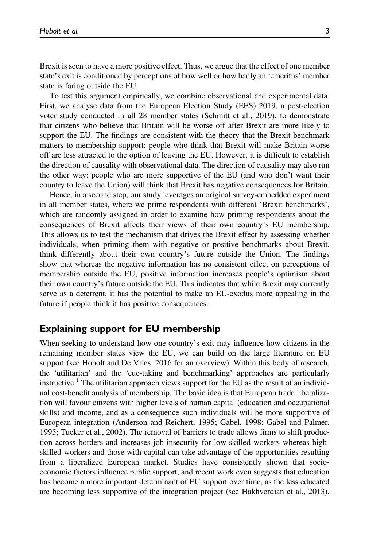Brexit is seen to have a more positive effect. Thus, we argue that the effect of one member state's exit is conditioned by perceptions of how well or how badly an 'emeritus' member state is faring outside the EU.

To test this argument empirically, we combine observational and experimental data. First, we analyse data from the European Election Study (EES) 2019, a post-election voter study conducted in all 28 member states (Schmitt et al., 2019), to demonstrate that citizens who believe that Britain will be worse off after Brexit are more likely to support the EU. The findings are consistent with the theory that the Brexit benchmark matters to membership support: people who think that Brexit will make Britain worse off are less attracted to the option of leaving the EU. However, it is difficult to establish the direction of causality with observational data. The direction of causality may also run the other way: people who are more supportive of the EU (and who don't want their country to leave the Union) will think that Brexit has negative consequences for Britain.

Hence, in a second step, our study leverages an original survey-embedded experiment in all member states, where we prime respondents with different 'Brexit benchmarks', which are randomly assigned in order to examine how priming respondents about the consequences of Brexit affects their views of their own country's EU membership. This allows us to test the mechanism that drives the Brexit effect by assessing whether individuals, when priming them with negative or positive benchmarks about Brexit, think differently about their own country's future outside the Union. The findings show that whereas the negative information has no consistent effect on perceptions of membership outside the EU, positive information increases people's optimism about their own country's future outside the EU. This indicates that while Brexit may currently serve as a deterrent, it has the potential to make an EU-exodus more appealing in the future if people think it has positive consequences.

### Explaining support for EU membership

When seeking to understand how one country's exit may influence how citizens in the remaining member states view the EU, we can build on the large literature on EU support (see Hobolt and De Vries, 2016 for an overview). Within this body of research, the 'utilitarian' and the 'cue-taking and benchmarking' approaches are particularly instructive.<sup>1</sup> The utilitarian approach views support for the EU as the result of an individual cost-benefit analysis of membership. The basic idea is that European trade liberalization will favour citizens with higher levels of human capital (education and occupational skills) and income, and as a consequence such individuals will be more supportive of European integration (Anderson and Reichert, 1995; Gabel, 1998; Gabel and Palmer, 1995; Tucker et al., 2002). The removal of barriers to trade allows firms to shift production across borders and increases job insecurity for low-skilled workers whereas highskilled workers and those with capital can take advantage of the opportunities resulting from a liberalized European market. Studies have consistently shown that socioeconomic factors influence public support, and recent work even suggests that education has become a more important determinant of EU support over time, as the less educated are becoming less supportive of the integration project (see Hakhverdian et al., 2013).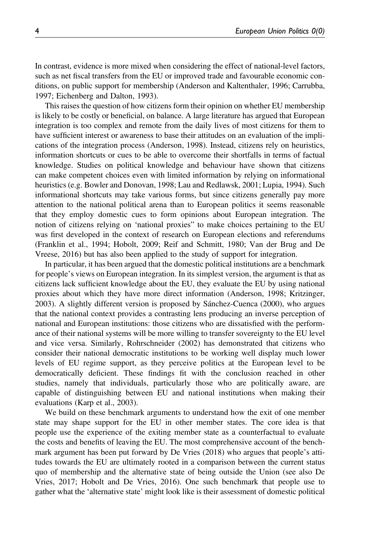In contrast, evidence is more mixed when considering the effect of national-level factors, such as net fiscal transfers from the EU or improved trade and favourable economic conditions, on public support for membership (Anderson and Kaltenthaler, 1996; Carrubba, 1997; Eichenberg and Dalton, 1993).

This raises the question of how citizens form their opinion on whether EU membership is likely to be costly or beneficial, on balance. A large literature has argued that European integration is too complex and remote from the daily lives of most citizens for them to have sufficient interest or awareness to base their attitudes on an evaluation of the implications of the integration process (Anderson, 1998). Instead, citizens rely on heuristics, information shortcuts or cues to be able to overcome their shortfalls in terms of factual knowledge. Studies on political knowledge and behaviour have shown that citizens can make competent choices even with limited information by relying on informational heuristics (e.g. Bowler and Donovan, 1998; Lau and Redlawsk, 2001; Lupia, 1994). Such informational shortcuts may take various forms, but since citizens generally pay more attention to the national political arena than to European politics it seems reasonable that they employ domestic cues to form opinions about European integration. The notion of citizens relying on 'national proxies" to make choices pertaining to the EU was first developed in the context of research on European elections and referendums (Franklin et al., 1994; Hobolt, 2009; Reif and Schmitt, 1980; Van der Brug and De Vreese, 2016) but has also been applied to the study of support for integration.

In particular, it has been argued that the domestic political institutions are a benchmark for people's views on European integration. In its simplest version, the argument is that as citizens lack sufficient knowledge about the EU, they evaluate the EU by using national proxies about which they have more direct information (Anderson, 1998; Kritzinger, 2003). A slightly different version is proposed by Sánchez-Cuenca (2000), who argues that the national context provides a contrasting lens producing an inverse perception of national and European institutions: those citizens who are dissatisfied with the performance of their national systems will be more willing to transfer sovereignty to the EU level and vice versa. Similarly, Rohrschneider (2002) has demonstrated that citizens who consider their national democratic institutions to be working well display much lower levels of EU regime support, as they perceive politics at the European level to be democratically deficient. These findings fit with the conclusion reached in other studies, namely that individuals, particularly those who are politically aware, are capable of distinguishing between EU and national institutions when making their evaluations (Karp et al., 2003).

We build on these benchmark arguments to understand how the exit of one member state may shape support for the EU in other member states. The core idea is that people use the experience of the exiting member state as a counterfactual to evaluate the costs and benefits of leaving the EU. The most comprehensive account of the benchmark argument has been put forward by De Vries (2018) who argues that people's attitudes towards the EU are ultimately rooted in a comparison between the current status quo of membership and the alternative state of being outside the Union (see also De Vries, 2017; Hobolt and De Vries, 2016). One such benchmark that people use to gather what the 'alternative state' might look like is their assessment of domestic political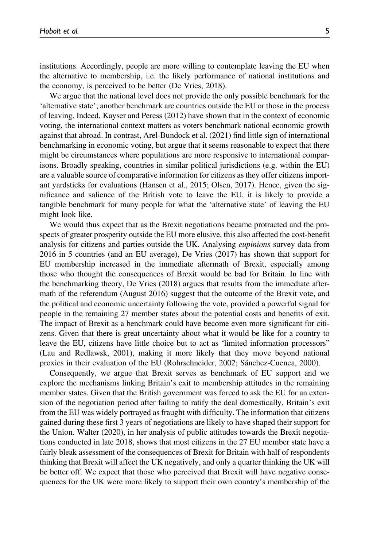institutions. Accordingly, people are more willing to contemplate leaving the EU when the alternative to membership, i.e. the likely performance of national institutions and the economy, is perceived to be better (De Vries, 2018).

We argue that the national level does not provide the only possible benchmark for the 'alternative state'; another benchmark are countries outside the EU or those in the process of leaving. Indeed, Kayser and Peress (2012) have shown that in the context of economic voting, the international context matters as voters benchmark national economic growth against that abroad. In contrast, Arel-Bundock et al. (2021) find little sign of international benchmarking in economic voting, but argue that it seems reasonable to expect that there might be circumstances where populations are more responsive to international comparisons. Broadly speaking, countries in similar political jurisdictions (e.g. within the EU) are a valuable source of comparative information for citizens as they offer citizens important yardsticks for evaluations (Hansen et al., 2015; Olsen, 2017). Hence, given the significance and salience of the British vote to leave the EU, it is likely to provide a tangible benchmark for many people for what the 'alternative state' of leaving the EU might look like.

We would thus expect that as the Brexit negotiations became protracted and the prospects of greater prosperity outside the EU more elusive, this also affected the cost-benefit analysis for citizens and parties outside the UK. Analysing eupinions survey data from 2016 in 5 countries (and an EU average), De Vries (2017) has shown that support for EU membership increased in the immediate aftermath of Brexit, especially among those who thought the consequences of Brexit would be bad for Britain. In line with the benchmarking theory, De Vries (2018) argues that results from the immediate aftermath of the referendum (August 2016) suggest that the outcome of the Brexit vote, and the political and economic uncertainty following the vote, provided a powerful signal for people in the remaining 27 member states about the potential costs and benefits of exit. The impact of Brexit as a benchmark could have become even more significant for citizens. Given that there is great uncertainty about what it would be like for a country to leave the EU, citizens have little choice but to act as 'limited information processors" (Lau and Redlawsk, 2001), making it more likely that they move beyond national proxies in their evaluation of the EU (Rohrschneider, 2002; Sánchez-Cuenca, 2000).

Consequently, we argue that Brexit serves as benchmark of EU support and we explore the mechanisms linking Britain's exit to membership attitudes in the remaining member states. Given that the British government was forced to ask the EU for an extension of the negotiation period after failing to ratify the deal domestically, Britain's exit from the EU was widely portrayed as fraught with difficulty. The information that citizens gained during these first 3 years of negotiations are likely to have shaped their support for the Union. Walter (2020), in her analysis of public attitudes towards the Brexit negotiations conducted in late 2018, shows that most citizens in the 27 EU member state have a fairly bleak assessment of the consequences of Brexit for Britain with half of respondents thinking that Brexit will affect the UK negatively, and only a quarter thinking the UK will be better off. We expect that those who perceived that Brexit will have negative consequences for the UK were more likely to support their own country's membership of the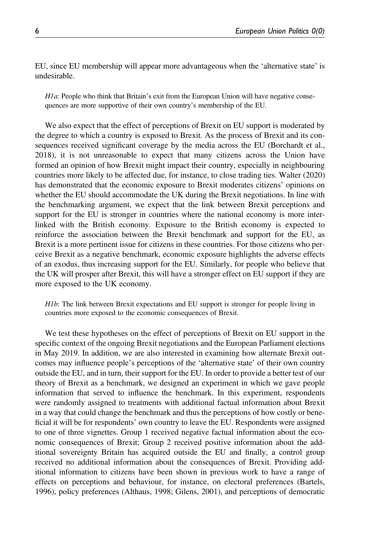EU, since EU membership will appear more advantageous when the 'alternative state' is undesirable.

 $H1a$ : People who think that Britain's exit from the European Union will have negative consequences are more supportive of their own country's membership of the EU.

We also expect that the effect of perceptions of Brexit on EU support is moderated by the degree to which a country is exposed to Brexit. As the process of Brexit and its consequences received significant coverage by the media across the EU (Borchardt et al., 2018), it is not unreasonable to expect that many citizens across the Union have formed an opinion of how Brexit might impact their country, especially in neighbouring countries more likely to be affected due, for instance, to close trading ties. Walter (2020) has demonstrated that the economic exposure to Brexit moderates citizens' opinions on whether the EU should accommodate the UK during the Brexit negotiations. In line with the benchmarking argument, we expect that the link between Brexit perceptions and support for the EU is stronger in countries where the national economy is more interlinked with the British economy. Exposure to the British economy is expected to reinforce the association between the Brexit benchmark and support for the EU, as Brexit is a more pertinent issue for citizens in these countries. For those citizens who perceive Brexit as a negative benchmark, economic exposure highlights the adverse effects of an exodus, thus increasing support for the EU. Similarly, for people who believe that the UK will prosper after Brexit, this will have a stronger effect on EU support if they are more exposed to the UK economy.

H<sub>1b</sub>: The link between Brexit expectations and EU support is stronger for people living in countries more exposed to the economic consequences of Brexit.

We test these hypotheses on the effect of perceptions of Brexit on EU support in the specific context of the ongoing Brexit negotiations and the European Parliament elections in May 2019. In addition, we are also interested in examining how alternate Brexit outcomes may influence people's perceptions of the 'alternative state' of their own country outside the EU, and in turn, their support for the EU. In order to provide a better test of our theory of Brexit as a benchmark, we designed an experiment in which we gave people information that served to influence the benchmark. In this experiment, respondents were randomly assigned to treatments with additional factual information about Brexit in a way that could change the benchmark and thus the perceptions of how costly or beneficial it will be for respondents' own country to leave the EU. Respondents were assigned to one of three vignettes. Group 1 received negative factual information about the economic consequences of Brexit; Group 2 received positive information about the additional sovereignty Britain has acquired outside the EU and finally, a control group received no additional information about the consequences of Brexit. Providing additional information to citizens have been shown in previous work to have a range of effects on perceptions and behaviour, for instance, on electoral preferences (Bartels, 1996), policy preferences (Althaus, 1998; Gilens, 2001), and perceptions of democratic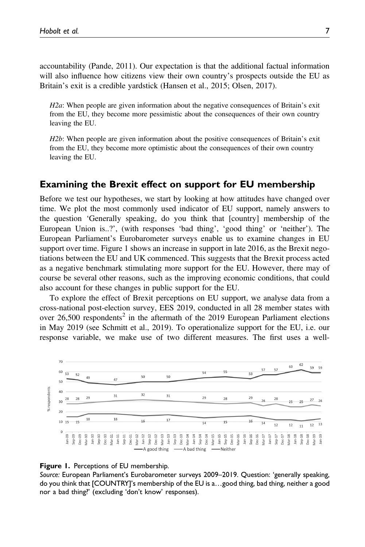accountability (Pande, 2011). Our expectation is that the additional factual information will also influence how citizens view their own country's prospects outside the EU as Britain's exit is a credible yardstick (Hansen et al., 2015; Olsen, 2017).

H2a: When people are given information about the negative consequences of Britain's exit from the EU, they become more pessimistic about the consequences of their own country leaving the EU.

H2b: When people are given information about the positive consequences of Britain's exit from the EU, they become more optimistic about the consequences of their own country leaving the EU.

## Examining the Brexit effect on support for EU membership

Before we test our hypotheses, we start by looking at how attitudes have changed over time. We plot the most commonly used indicator of EU support, namely answers to the question 'Generally speaking, do you think that [country] membership of the European Union is..?', (with responses 'bad thing', 'good thing' or 'neither'). The European Parliament's Eurobarometer surveys enable us to examine changes in EU support over time. Figure 1 shows an increase in support in late 2016, as the Brexit negotiations between the EU and UK commenced. This suggests that the Brexit process acted as a negative benchmark stimulating more support for the EU. However, there may of course be several other reasons, such as the improving economic conditions, that could also account for these changes in public support for the EU.

To explore the effect of Brexit perceptions on EU support, we analyse data from a cross-national post-election survey, EES 2019, conducted in all 28 member states with over  $26,500$  respondents<sup>2</sup> in the aftermath of the 2019 European Parliament elections in May 2019 (see Schmitt et al., 2019). To operationalize support for the EU, i.e. our response variable, we make use of two different measures. The first uses a well-



#### Figure 1. Perceptions of EU membership.

Source: European Parliament's Eurobarometer surveys 2009–2019. Question: 'generally speaking, do you think that [COUNTRY]'s membership of the EU is a…good thing, bad thing, neither a good nor a bad thing?' (excluding 'don't know' responses).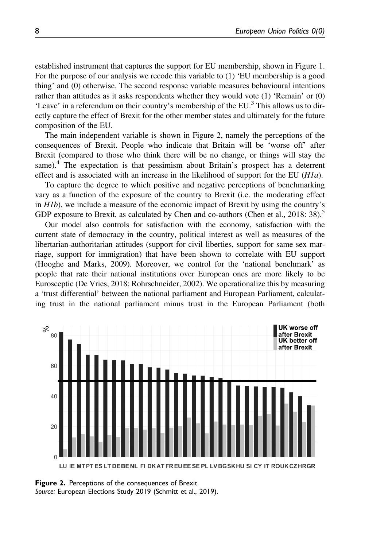established instrument that captures the support for EU membership, shown in Figure 1. For the purpose of our analysis we recode this variable to (1) 'EU membership is a good thing' and (0) otherwise. The second response variable measures behavioural intentions rather than attitudes as it asks respondents whether they would vote (1) 'Remain' or (0) 'Leave' in a referendum on their country's membership of the EU.<sup>3</sup> This allows us to directly capture the effect of Brexit for the other member states and ultimately for the future composition of the EU.

The main independent variable is shown in Figure 2, namely the perceptions of the consequences of Brexit. People who indicate that Britain will be 'worse off' after Brexit (compared to those who think there will be no change, or things will stay the same).<sup>4</sup> The expectation is that pessimism about Britain's prospect has a deterrent effect and is associated with an increase in the likelihood of support for the EU  $(H1a)$ .

To capture the degree to which positive and negative perceptions of benchmarking vary as a function of the exposure of the country to Brexit (i.e. the moderating effect in  $H1b$ ), we include a measure of the economic impact of Brexit by using the country's GDP exposure to Brexit, as calculated by Chen and co-authors (Chen et al.,  $2018:38$ ).<sup>5</sup>

Our model also controls for satisfaction with the economy, satisfaction with the current state of democracy in the country, political interest as well as measures of the libertarian-authoritarian attitudes (support for civil liberties, support for same sex marriage, support for immigration) that have been shown to correlate with EU support (Hooghe and Marks, 2009). Moreover, we control for the 'national benchmark' as people that rate their national institutions over European ones are more likely to be Eurosceptic (De Vries, 2018; Rohrschneider, 2002). We operationalize this by measuring a 'trust differential' between the national parliament and European Parliament, calculating trust in the national parliament minus trust in the European Parliament (both



**Figure 2.** Perceptions of the consequences of Brexit. Source: European Elections Study 2019 (Schmitt et al., 2019).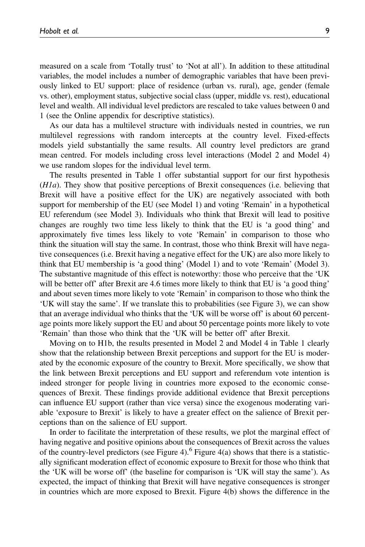measured on a scale from 'Totally trust' to 'Not at all'). In addition to these attitudinal variables, the model includes a number of demographic variables that have been previously linked to EU support: place of residence (urban vs. rural), age, gender (female vs. other), employment status, subjective social class (upper, middle vs. rest), educational level and wealth. All individual level predictors are rescaled to take values between 0 and 1 (see the Online appendix for descriptive statistics).

As our data has a multilevel structure with individuals nested in countries, we run multilevel regressions with random intercepts at the country level. Fixed-effects models yield substantially the same results. All country level predictors are grand mean centred. For models including cross level interactions (Model 2 and Model 4) we use random slopes for the individual level term.

The results presented in Table 1 offer substantial support for our first hypothesis (H1a). They show that positive perceptions of Brexit consequences (i.e. believing that Brexit will have a positive effect for the UK) are negatively associated with both support for membership of the EU (see Model 1) and voting 'Remain' in a hypothetical EU referendum (see Model 3). Individuals who think that Brexit will lead to positive changes are roughly two time less likely to think that the EU is 'a good thing' and approximately five times less likely to vote 'Remain' in comparison to those who think the situation will stay the same. In contrast, those who think Brexit will have negative consequences (i.e. Brexit having a negative effect for the UK) are also more likely to think that EU membership is 'a good thing' (Model 1) and to vote 'Remain' (Model 3). The substantive magnitude of this effect is noteworthy: those who perceive that the 'UK will be better off' after Brexit are 4.6 times more likely to think that EU is 'a good thing' and about seven times more likely to vote 'Remain' in comparison to those who think the 'UK will stay the same'. If we translate this to probabilities (see Figure 3), we can show that an average individual who thinks that the 'UK will be worse off' is about 60 percentage points more likely support the EU and about 50 percentage points more likely to vote 'Remain' than those who think that the 'UK will be better off' after Brexit.

Moving on to H1b, the results presented in Model 2 and Model 4 in Table 1 clearly show that the relationship between Brexit perceptions and support for the EU is moderated by the economic exposure of the country to Brexit. More specifically, we show that the link between Brexit perceptions and EU support and referendum vote intention is indeed stronger for people living in countries more exposed to the economic consequences of Brexit. These findings provide additional evidence that Brexit perceptions can influence EU support (rather than vice versa) since the exogenous moderating variable 'exposure to Brexit' is likely to have a greater effect on the salience of Brexit perceptions than on the salience of EU support.

In order to facilitate the interpretation of these results, we plot the marginal effect of having negative and positive opinions about the consequences of Brexit across the values of the country-level predictors (see Figure 4).<sup>6</sup> Figure 4(a) shows that there is a statistically significant moderation effect of economic exposure to Brexit for those who think that the 'UK will be worse off' (the baseline for comparison is 'UK will stay the same'). As expected, the impact of thinking that Brexit will have negative consequences is stronger in countries which are more exposed to Brexit. Figure 4(b) shows the difference in the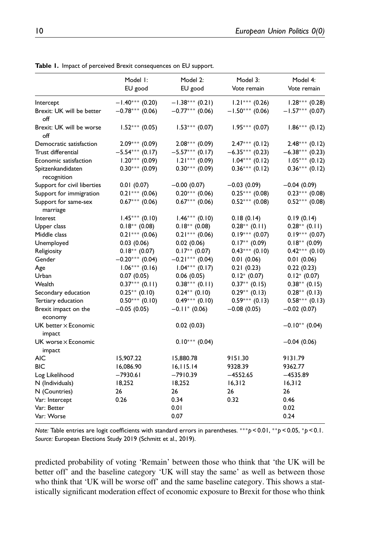|                                       | Model I:<br>EU good | Model 2:<br>EU good | Model 3:<br>Vote remain | Model 4:<br>Vote remain |
|---------------------------------------|---------------------|---------------------|-------------------------|-------------------------|
| Intercept                             | $-1.40***$ (0.20)   | $-1.38***(0.21)$    | $1.21***$ (0.26)        | $1.28***$ (0.28)        |
| Brexit: UK will be better<br>off      | $-0.78***$ (0.06)   | $-0.77***$ (0.06)   | $-1.50***$ (0.06)       | $-1.57***$ (0.07)       |
| Brexit: UK will be worse<br>off       | $1.52***(0.05)$     | $1.53***(0.07)$     | $1.95***(0.07)$         | $1.86***$ (0.12)        |
| Democratic satisfaction               | $2.09***$ (0.09)    | $2.08***(0.09)$     | $2.47***$ (0.12)        | $2.48***$ (0.12)        |
| Trust differential                    | $-5.54***$ (0.17)   | $-5.57***$ (0.17)   | $-6.35***$ (0.23)       | $-6.38***$ (0.23)       |
| Economic satisfaction                 | $1.20***$ (0.09)    | $1.21***$ (0.09)    | $1.04***$ (0.12)        | $1.05***(0.12)$         |
| Spitzenkandidaten<br>recognition      | $0.30***$ (0.09)    | $0.30***$ (0.09)    | $0.36***$ (0.12)        | $0.36***$ (0.12)        |
| Support for civil liberties           | 0.01(0.07)          | $-0.00(0.07)$       | $-0.03(0.09)$           | $-0.04(0.09)$           |
| Support for immigration               | $0.21***$ (0.06)    | $0.20***$ (0.06)    | $0.25***(0.08)$         | $0.23***$ (0.08)        |
| Support for same-sex<br>marriage      | $0.67***(0.06)$     | $0.67***$ (0.06)    | $0.52***$ (0.08)        | $0.52***$ (0.08)        |
| Interest                              | $1.45***$ (0.10)    | $1.46***$ (0.10)    | 0.18(0.14)              | 0.19(0.14)              |
| Upper class                           | $0.18**$ (0.08)     | $0.18**$ (0.08)     | $0.28**$ (0.11)         | $0.28**$ (0.11)         |
| Middle class                          | $0.21***$ (0.06)    | $0.21***$ (0.06)    | $0.19***$ (0.07)        | $0.19***$ (0.07)        |
| Unemployed                            | 0.03(0.06)          | 0.02(0.06)          | $0.17**$ (0.09)         | $0.18**$ (0.09)         |
| Religiosity                           | $0.18**$ (0.07)     | $0.17**$ (0.07)     | $0.43***$ $(0.10)$      | $0.42***$ (0.10)        |
| Gender                                | $-0.20***$ (0.04)   | $-0.21***$ (0.04)   | 0.01(0.06)              | 0.01(0.06)              |
| Age                                   | $1.06***(0.16)$     | $1.04***$ (0.17)    | 0.21(0.23)              | 0.22(0.23)              |
| Urban                                 | 0.07(0.05)          | 0.06(0.05)          | $0.12^* (0.07)$         | $0.12^* (0.07)$         |
| Wealth                                | $0.37***$ (0.11)    | $0.38***$ (0.11)    | $0.37**$ (0.15)         | $0.38^{**}$ (0.15)      |
| Secondary education                   | $0.25***$ (0.10)    | $0.24***$ (0.10)    | $0.29**$ (0.13)         | $0.28**$ (0.13)         |
| Tertiary education                    | $0.50***$ (0.10)    | $0.49***$ (0.10)    | $0.59***$ (0.13)        | $0.58***(0.13)$         |
| Brexit impact on the<br>economy       | $-0.05(0.05)$       | $-0.11$ (0.06)      | $-0.08(0.05)$           | $-0.02(0.07)$           |
| UK better $\times$ Economic<br>impact |                     | 0.02(0.03)          |                         | $-0.10**$ (0.04)        |
| UK worse $\times$ Economic<br>impact  |                     | $0.10***$ (0.04)    |                         | $-0.04(0.06)$           |
| <b>AIC</b>                            | 15,907.22           | 15,880.78           | 9151.30                 | 9131.79                 |
| <b>BIC</b>                            | 16,086.90           | 16, 115.14          | 9328.39                 | 9362.77                 |
| Log Likelihood                        | $-7930.61$          | $-7910.39$          | $-4552.65$              | $-4535.89$              |
| N (Individuals)                       | 18,252              | 18,252              | 16,312                  | 16,312                  |
| N (Countries)                         | 26                  | 26                  | 26                      | 26                      |
| Var: Intercept                        | 0.26                | 0.34                | 0.32                    | 0.46                    |
| Var: Better                           |                     | 0.01                |                         | 0.02                    |
| Var: Worse                            |                     | 0.07                |                         | 0.24                    |
|                                       |                     |                     |                         |                         |

Table 1. Impact of perceived Brexit consequences on EU support.

Note: Table entries are logit coefficients with standard errors in parentheses. \*\*\* $p < 0.01$ , \*\* $p < 0.05$ , \* $p < 0.1$ . Source: European Elections Study 2019 (Schmitt et al., 2019).

predicted probability of voting 'Remain' between those who think that 'the UK will be better off' and the baseline category 'UK will stay the same' as well as between those who think that 'UK will be worse off' and the same baseline category. This shows a statistically significant moderation effect of economic exposure to Brexit for those who think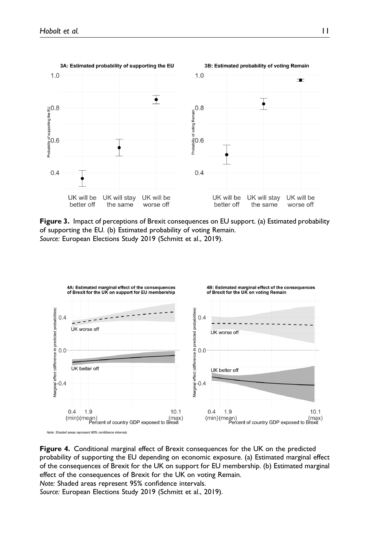

Figure 3. Impact of perceptions of Brexit consequences on EU support. (a) Estimated probability of supporting the EU. (b) Estimated probability of voting Remain. Source: European Elections Study 2019 (Schmitt et al., 2019).



Figure 4. Conditional marginal effect of Brexit consequences for the UK on the predicted probability of supporting the EU depending on economic exposure. (a) Estimated marginal effect of the consequences of Brexit for the UK on support for EU membership. (b) Estimated marginal effect of the consequences of Brexit for the UK on voting Remain.

Note: Shaded areas represent 95% confidence intervals.

Source: European Elections Study 2019 (Schmitt et al., 2019).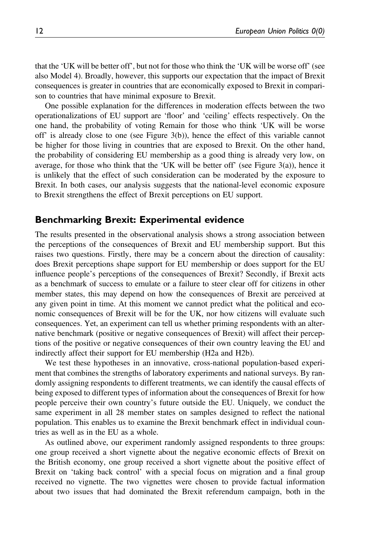that the 'UK will be better off', but not for those who think the 'UK will be worse off' (see also Model 4). Broadly, however, this supports our expectation that the impact of Brexit consequences is greater in countries that are economically exposed to Brexit in comparison to countries that have minimal exposure to Brexit.

One possible explanation for the differences in moderation effects between the two operationalizations of EU support are 'floor' and 'ceiling' effects respectively. On the one hand, the probability of voting Remain for those who think 'UK will be worse off' is already close to one (see Figure 3(b)), hence the effect of this variable cannot be higher for those living in countries that are exposed to Brexit. On the other hand, the probability of considering EU membership as a good thing is already very low, on average, for those who think that the 'UK will be better off' (see Figure 3(a)), hence it is unlikely that the effect of such consideration can be moderated by the exposure to Brexit. In both cases, our analysis suggests that the national-level economic exposure to Brexit strengthens the effect of Brexit perceptions on EU support.

#### Benchmarking Brexit: Experimental evidence

The results presented in the observational analysis shows a strong association between the perceptions of the consequences of Brexit and EU membership support. But this raises two questions. Firstly, there may be a concern about the direction of causality: does Brexit perceptions shape support for EU membership or does support for the EU influence people's perceptions of the consequences of Brexit? Secondly, if Brexit acts as a benchmark of success to emulate or a failure to steer clear off for citizens in other member states, this may depend on how the consequences of Brexit are perceived at any given point in time. At this moment we cannot predict what the political and economic consequences of Brexit will be for the UK, nor how citizens will evaluate such consequences. Yet, an experiment can tell us whether priming respondents with an alternative benchmark (positive or negative consequences of Brexit) will affect their perceptions of the positive or negative consequences of their own country leaving the EU and indirectly affect their support for EU membership (H2a and H2b).

We test these hypotheses in an innovative, cross-national population-based experiment that combines the strengths of laboratory experiments and national surveys. By randomly assigning respondents to different treatments, we can identify the causal effects of being exposed to different types of information about the consequences of Brexit for how people perceive their own country's future outside the EU. Uniquely, we conduct the same experiment in all 28 member states on samples designed to reflect the national population. This enables us to examine the Brexit benchmark effect in individual countries as well as in the EU as a whole.

As outlined above, our experiment randomly assigned respondents to three groups: one group received a short vignette about the negative economic effects of Brexit on the British economy, one group received a short vignette about the positive effect of Brexit on 'taking back control' with a special focus on migration and a final group received no vignette. The two vignettes were chosen to provide factual information about two issues that had dominated the Brexit referendum campaign, both in the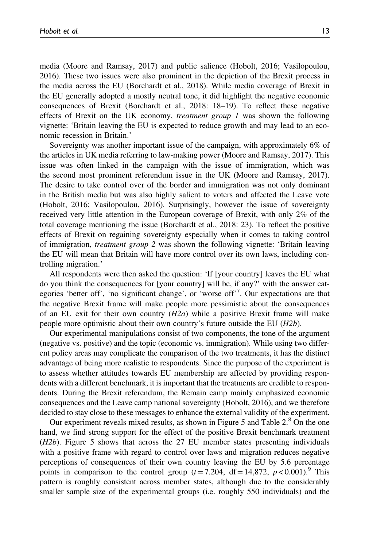media (Moore and Ramsay, 2017) and public salience (Hobolt, 2016; Vasilopoulou, 2016). These two issues were also prominent in the depiction of the Brexit process in the media across the EU (Borchardt et al., 2018). While media coverage of Brexit in the EU generally adopted a mostly neutral tone, it did highlight the negative economic consequences of Brexit (Borchardt et al., 2018: 18–19). To reflect these negative effects of Brexit on the UK economy, treatment group 1 was shown the following vignette: 'Britain leaving the EU is expected to reduce growth and may lead to an economic recession in Britain.'

Sovereignty was another important issue of the campaign, with approximately 6% of the articles in UK media referring to law-making power (Moore and Ramsay, 2017). This issue was often linked in the campaign with the issue of immigration, which was the second most prominent referendum issue in the UK (Moore and Ramsay, 2017). The desire to take control over of the border and immigration was not only dominant in the British media but was also highly salient to voters and affected the Leave vote (Hobolt, 2016; Vasilopoulou, 2016). Surprisingly, however the issue of sovereignty received very little attention in the European coverage of Brexit, with only 2% of the total coverage mentioning the issue (Borchardt et al., 2018: 23). To reflect the positive effects of Brexit on regaining sovereignty especially when it comes to taking control of immigration, treatment group 2 was shown the following vignette: 'Britain leaving the EU will mean that Britain will have more control over its own laws, including controlling migration.'

All respondents were then asked the question: 'If [your country] leaves the EU what do you think the consequences for [your country] will be, if any?' with the answer categories 'better off', 'no significant change', or 'worse off'<sup>7</sup>. Our expectations are that the negative Brexit frame will make people more pessimistic about the consequences of an EU exit for their own country  $(H2a)$  while a positive Brexit frame will make people more optimistic about their own country's future outside the EU (H2b).

Our experimental manipulations consist of two components, the tone of the argument (negative vs. positive) and the topic (economic vs. immigration). While using two different policy areas may complicate the comparison of the two treatments, it has the distinct advantage of being more realistic to respondents. Since the purpose of the experiment is to assess whether attitudes towards EU membership are affected by providing respondents with a different benchmark, it is important that the treatments are credible to respondents. During the Brexit referendum, the Remain camp mainly emphasized economic consequences and the Leave camp national sovereignty (Hobolt, 2016), and we therefore decided to stay close to these messages to enhance the external validity of the experiment.

Our experiment reveals mixed results, as shown in Figure 5 and Table 2.<sup>8</sup> On the one hand, we find strong support for the effect of the positive Brexit benchmark treatment (H2b). Figure 5 shows that across the 27 EU member states presenting individuals with a positive frame with regard to control over laws and migration reduces negative perceptions of consequences of their own country leaving the EU by 5.6 percentage points in comparison to the control group  $(t=7.204, df=14,872, p < 0.001)$ .<sup>9</sup> This pattern is roughly consistent across member states, although due to the considerably smaller sample size of the experimental groups (i.e. roughly 550 individuals) and the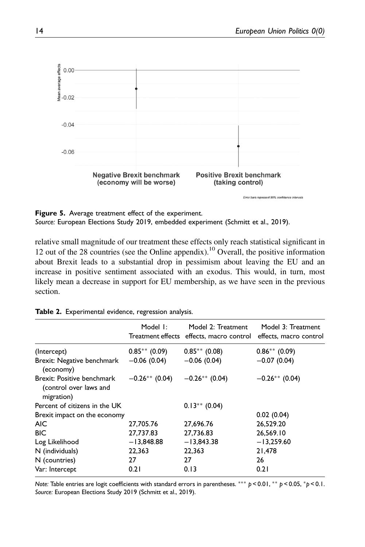

Figure 5. Average treatment effect of the experiment. Source: European Elections Study 2019, embedded experiment (Schmitt et al., 2019).

relative small magnitude of our treatment these effects only reach statistical significant in 12 out of the 28 countries (see the Online appendix).<sup>10</sup> Overall, the positive information about Brexit leads to a substantial drop in pessimism about leaving the EU and an increase in positive sentiment associated with an exodus. This would, in turn, most likely mean a decrease in support for EU membership, as we have seen in the previous section.

|                                                                    | Model I:          | Model 2: Treatment<br>Treatment effects effects, macro control | Model 3: Treatment<br>effects, macro control |
|--------------------------------------------------------------------|-------------------|----------------------------------------------------------------|----------------------------------------------|
| (Intercept)                                                        | $0.85***(0.09)$   | $0.85***(0.08)$                                                | $0.86**$ (0.09)                              |
| Brexit: Negative benchmark<br>(economy)                            | $-0.06(0.04)$     | $-0.06(0.04)$                                                  | $-0.07(0.04)$                                |
| Brexit: Positive benchmark<br>(control over laws and<br>migration) | $-0.26***$ (0.04) | $-0.26**$ (0.04)                                               | $-0.26**$ (0.04)                             |
| Percent of citizens in the UK                                      |                   | $0.13***$ (0.04)                                               |                                              |
| Brexit impact on the economy                                       |                   |                                                                | 0.02(0.04)                                   |
| <b>AIC</b>                                                         | 27,705.76         | 27,696.76                                                      | 26,529.20                                    |
| <b>BIC</b>                                                         | 27,737.83         | 27,736.83                                                      | 26,569.10                                    |
| Log Likelihood                                                     | $-13,848.88$      | $-13,843.38$                                                   | $-13,259.60$                                 |
| N (individuals)                                                    | 22,363            | 22,363                                                         | 21,478                                       |
| N (countries)                                                      | 27                | 27                                                             | 26                                           |
| Var: Intercept                                                     | 0.21              | 0.13                                                           | 0.21                                         |

Table 2. Experimental evidence, regression analysis.

Note: Table entries are logit coefficients with standard errors in parentheses. \*\*\*  $p < 0.01$ , \*\*  $p < 0.05$ , \* $p < 0.1$ . Source: European Elections Study 2019 (Schmitt et al., 2019).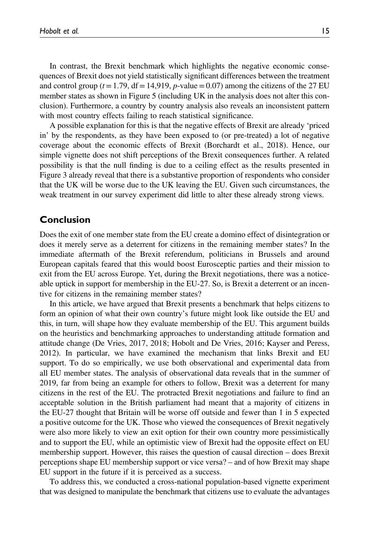In contrast, the Brexit benchmark which highlights the negative economic consequences of Brexit does not yield statistically significant differences between the treatment and control group ( $t=1.79$ , df = 14,919, p-value = 0.07) among the citizens of the 27 EU member states as shown in Figure 5 (including UK in the analysis does not alter this conclusion). Furthermore, a country by country analysis also reveals an inconsistent pattern with most country effects failing to reach statistical significance.

A possible explanation for this is that the negative effects of Brexit are already 'priced in' by the respondents, as they have been exposed to (or pre-treated) a lot of negative coverage about the economic effects of Brexit (Borchardt et al., 2018). Hence, our simple vignette does not shift perceptions of the Brexit consequences further. A related possibility is that the null finding is due to a ceiling effect as the results presented in Figure 3 already reveal that there is a substantive proportion of respondents who consider that the UK will be worse due to the UK leaving the EU. Given such circumstances, the weak treatment in our survey experiment did little to alter these already strong views.

## Conclusion

Does the exit of one member state from the EU create a domino effect of disintegration or does it merely serve as a deterrent for citizens in the remaining member states? In the immediate aftermath of the Brexit referendum, politicians in Brussels and around European capitals feared that this would boost Eurosceptic parties and their mission to exit from the EU across Europe. Yet, during the Brexit negotiations, there was a noticeable uptick in support for membership in the EU-27. So, is Brexit a deterrent or an incentive for citizens in the remaining member states?

In this article, we have argued that Brexit presents a benchmark that helps citizens to form an opinion of what their own country's future might look like outside the EU and this, in turn, will shape how they evaluate membership of the EU. This argument builds on the heuristics and benchmarking approaches to understanding attitude formation and attitude change (De Vries, 2017, 2018; Hobolt and De Vries, 2016; Kayser and Peress, 2012). In particular, we have examined the mechanism that links Brexit and EU support. To do so empirically, we use both observational and experimental data from all EU member states. The analysis of observational data reveals that in the summer of 2019, far from being an example for others to follow, Brexit was a deterrent for many citizens in the rest of the EU. The protracted Brexit negotiations and failure to find an acceptable solution in the British parliament had meant that a majority of citizens in the EU-27 thought that Britain will be worse off outside and fewer than 1 in 5 expected a positive outcome for the UK. Those who viewed the consequences of Brexit negatively were also more likely to view an exit option for their own country more pessimistically and to support the EU, while an optimistic view of Brexit had the opposite effect on EU membership support. However, this raises the question of causal direction – does Brexit perceptions shape EU membership support or vice versa? – and of how Brexit may shape EU support in the future if it is perceived as a success.

To address this, we conducted a cross-national population-based vignette experiment that was designed to manipulate the benchmark that citizens use to evaluate the advantages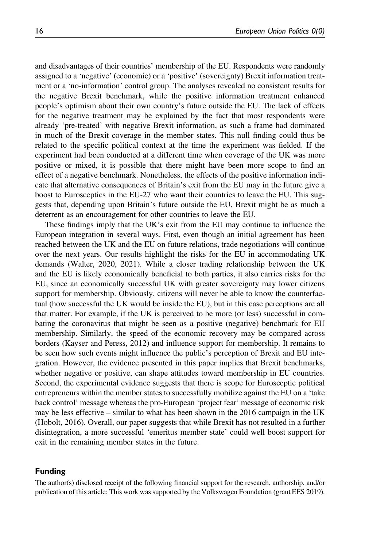and disadvantages of their countries' membership of the EU. Respondents were randomly assigned to a 'negative' (economic) or a 'positive' (sovereignty) Brexit information treatment or a 'no-information' control group. The analyses revealed no consistent results for the negative Brexit benchmark, while the positive information treatment enhanced people's optimism about their own country's future outside the EU. The lack of effects for the negative treatment may be explained by the fact that most respondents were already 'pre-treated' with negative Brexit information, as such a frame had dominated in much of the Brexit coverage in the member states. This null finding could thus be related to the specific political context at the time the experiment was fielded. If the experiment had been conducted at a different time when coverage of the UK was more positive or mixed, it is possible that there might have been more scope to find an effect of a negative benchmark. Nonetheless, the effects of the positive information indicate that alternative consequences of Britain's exit from the EU may in the future give a boost to Eurosceptics in the EU-27 who want their countries to leave the EU. This suggests that, depending upon Britain's future outside the EU, Brexit might be as much a deterrent as an encouragement for other countries to leave the EU.

These findings imply that the UK's exit from the EU may continue to influence the European integration in several ways. First, even though an initial agreement has been reached between the UK and the EU on future relations, trade negotiations will continue over the next years. Our results highlight the risks for the EU in accommodating UK demands (Walter, 2020, 2021). While a closer trading relationship between the UK and the EU is likely economically beneficial to both parties, it also carries risks for the EU, since an economically successful UK with greater sovereignty may lower citizens support for membership. Obviously, citizens will never be able to know the counterfactual (how successful the UK would be inside the EU), but in this case perceptions are all that matter. For example, if the UK is perceived to be more (or less) successful in combating the coronavirus that might be seen as a positive (negative) benchmark for EU membership. Similarly, the speed of the economic recovery may be compared across borders (Kayser and Peress, 2012) and influence support for membership. It remains to be seen how such events might influence the public's perception of Brexit and EU integration. However, the evidence presented in this paper implies that Brexit benchmarks, whether negative or positive, can shape attitudes toward membership in EU countries. Second, the experimental evidence suggests that there is scope for Eurosceptic political entrepreneurs within the member states to successfully mobilize against the EU on a 'take back control' message whereas the pro-European 'project fear' message of economic risk may be less effective – similar to what has been shown in the 2016 campaign in the UK (Hobolt, 2016). Overall, our paper suggests that while Brexit has not resulted in a further disintegration, a more successful 'emeritus member state' could well boost support for exit in the remaining member states in the future.

#### Funding

The author(s) disclosed receipt of the following financial support for the research, authorship, and/or publication of this article: This work was supported by the Volkswagen Foundation (grant EES 2019).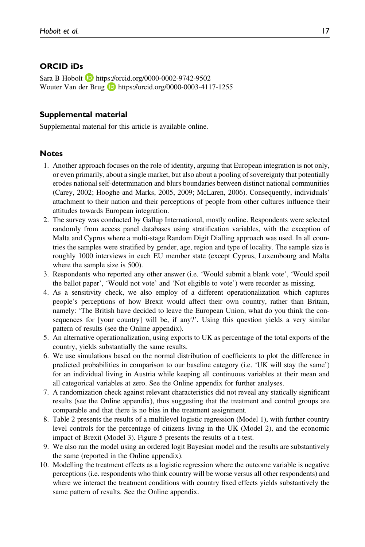### ORCID iDs

Sara B Hobolt **D** <https://orcid.org/0000-0002-9742-9502> Wouter Van der Brug **b** <https://orcid.org/0000-0003-4117-1255>

#### Supplemental material

Supplemental material for this article is available online.

#### **Notes**

- 1. Another approach focuses on the role of identity, arguing that European integration is not only, or even primarily, about a single market, but also about a pooling of sovereignty that potentially erodes national self-determination and blurs boundaries between distinct national communities (Carey, 2002; Hooghe and Marks, 2005, 2009; McLaren, 2006). Consequently, individuals' attachment to their nation and their perceptions of people from other cultures influence their attitudes towards European integration.
- 2. The survey was conducted by Gallup International, mostly online. Respondents were selected randomly from access panel databases using stratification variables, with the exception of Malta and Cyprus where a multi-stage Random Digit Dialling approach was used. In all countries the samples were stratified by gender, age, region and type of locality. The sample size is roughly 1000 interviews in each EU member state (except Cyprus, Luxembourg and Malta where the sample size is 500).
- 3. Respondents who reported any other answer (i.e. 'Would submit a blank vote', 'Would spoil the ballot paper', 'Would not vote' and 'Not eligible to vote') were recorder as missing.
- 4. As a sensitivity check, we also employ of a different operationalization which captures people's perceptions of how Brexit would affect their own country, rather than Britain, namely: 'The British have decided to leave the European Union, what do you think the consequences for [your country] will be, if any?'. Using this question yields a very similar pattern of results (see the Online appendix).
- 5. An alternative operationalization, using exports to UK as percentage of the total exports of the country, yields substantially the same results.
- 6. We use simulations based on the normal distribution of coefficients to plot the difference in predicted probabilities in comparison to our baseline category (i.e. 'UK will stay the same') for an individual living in Austria while keeping all continuous variables at their mean and all categorical variables at zero. See the Online appendix for further analyses.
- 7. A randomization check against relevant characteristics did not reveal any statically significant results (see the Online appendix), thus suggesting that the treatment and control groups are comparable and that there is no bias in the treatment assignment.
- 8. Table 2 presents the results of a multilevel logistic regression (Model 1), with further country level controls for the percentage of citizens living in the UK (Model 2), and the economic impact of Brexit (Model 3). Figure 5 presents the results of a t-test.
- 9. We also ran the model using an ordered logit Bayesian model and the results are substantively the same (reported in the Online appendix).
- 10. Modelling the treatment effects as a logistic regression where the outcome variable is negative perceptions (i.e. respondents who think country will be worse versus all other respondents) and where we interact the treatment conditions with country fixed effects yields substantively the same pattern of results. See the Online appendix.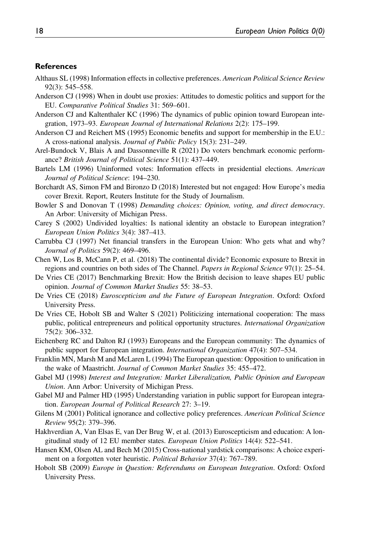#### **References**

- Althaus SL (1998) Information effects in collective preferences. American Political Science Review 92(3): 545–558.
- Anderson CJ (1998) When in doubt use proxies: Attitudes to domestic politics and support for the EU. Comparative Political Studies 31: 569–601.
- Anderson CJ and Kaltenthaler KC (1996) The dynamics of public opinion toward European integration, 1973–93. European Journal of International Relations 2(2): 175–199.
- Anderson CJ and Reichert MS (1995) Economic benefits and support for membership in the E.U.: A cross-national analysis. Journal of Public Policy 15(3): 231–249.
- Arel-Bundock V, Blais A and Dassonneville R (2021) Do voters benchmark economic performance? British Journal of Political Science 51(1): 437–449.
- Bartels LM (1996) Uninformed votes: Information effects in presidential elections. American Journal of Political Science: 194–230.
- Borchardt AS, Simon FM and Bironzo D (2018) Interested but not engaged: How Europe's media cover Brexit. Report, Reuters Institute for the Study of Journalism.
- Bowler S and Donovan T (1998) Demanding choices: Opinion, voting, and direct democracy. An Arbor: University of Michigan Press.
- Carey S (2002) Undivided loyalties: Is national identity an obstacle to European integration? European Union Politics 3(4): 387–413.
- Carrubba CJ (1997) Net financial transfers in the European Union: Who gets what and why? Journal of Politics 59(2): 469–496.
- Chen W, Los B, McCann P, et al. (2018) The continental divide? Economic exposure to Brexit in regions and countries on both sides of The Channel. Papers in Regional Science 97(1): 25–54.
- De Vries CE (2017) Benchmarking Brexit: How the British decision to leave shapes EU public opinion. Journal of Common Market Studies 55: 38–53.
- De Vries CE (2018) Euroscepticism and the Future of European Integration. Oxford: Oxford University Press.
- De Vries CE, Hobolt SB and Walter S (2021) Politicizing international cooperation: The mass public, political entrepreneurs and political opportunity structures. International Organization 75(2): 306–332.
- Eichenberg RC and Dalton RJ (1993) Europeans and the European community: The dynamics of public support for European integration. *International Organization* 47(4): 507–534.
- Franklin MN, Marsh M and McLaren L (1994) The European question: Opposition to unification in the wake of Maastricht. Journal of Common Market Studies 35: 455–472.
- Gabel MJ (1998) Interest and Integration: Market Liberalization, Public Opinion and European Union. Ann Arbor: University of Michigan Press.
- Gabel MJ and Palmer HD (1995) Understanding variation in public support for European integration. European Journal of Political Research 27: 3–19.
- Gilens M (2001) Political ignorance and collective policy preferences. American Political Science Review 95(2): 379–396.
- Hakhverdian A, Van Elsas E, van Der Brug W, et al. (2013) Euroscepticism and education: A longitudinal study of 12 EU member states. European Union Politics 14(4): 522–541.
- Hansen KM, Olsen AL and Bech M (2015) Cross-national yardstick comparisons: A choice experiment on a forgotten voter heuristic. *Political Behavior* 37(4): 767–789.
- Hobolt SB (2009) Europe in Question: Referendums on European Integration. Oxford: Oxford University Press.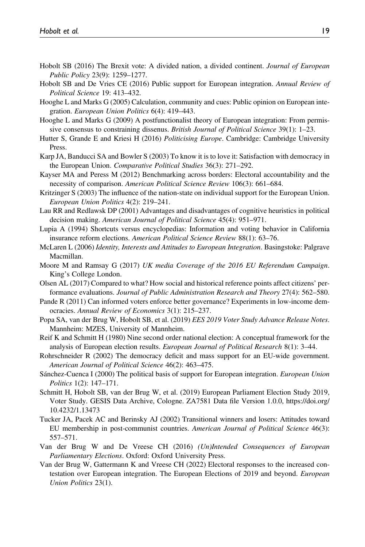- Hobolt SB (2016) The Brexit vote: A divided nation, a divided continent. *Journal of European* Public Policy 23(9): 1259–1277.
- Hobolt SB and De Vries CE (2016) Public support for European integration. Annual Review of Political Science 19: 413–432.
- Hooghe L and Marks G (2005) Calculation, community and cues: Public opinion on European integration. European Union Politics 6(4): 419–443.
- Hooghe L and Marks G (2009) A postfunctionalist theory of European integration: From permissive consensus to constraining dissenus. British Journal of Political Science 39(1): 1–23.
- Hutter S, Grande E and Kriesi H (2016) Politicising Europe. Cambridge: Cambridge University Press.
- Karp JA, Banducci SA and Bowler S (2003) To know it is to love it: Satisfaction with democracy in the European Union. Comparative Political Studies 36(3): 271–292.
- Kayser MA and Peress M (2012) Benchmarking across borders: Electoral accountability and the necessity of comparison. American Political Science Review 106(3): 661–684.
- Kritzinger S (2003) The influence of the nation-state on individual support for the European Union. European Union Politics 4(2): 219–241.
- Lau RR and Redlawsk DP (2001) Advantages and disadvantages of cognitive heuristics in political decision making. American Journal of Political Science 45(4): 951–971.
- Lupia A (1994) Shortcuts versus encyclopedias: Information and voting behavior in California insurance reform elections. American Political Science Review 88(1): 63–76.
- McLaren L (2006) Identity, Interests and Attitudes to European Integration. Basingstoke: Palgrave Macmillan.
- Moore M and Ramsay G (2017) UK media Coverage of the 2016 EU Referendum Campaign. King's College London.
- Olsen AL (2017) Compared to what? How social and historical reference points affect citizens' performance evaluations. Journal of Public Administration Research and Theory 27(4): 562–580.
- Pande R (2011) Can informed voters enforce better governance? Experiments in low-income democracies. Annual Review of Economics 3(1): 215–237.
- Popa SA, van der Brug W, Hobolt SB, et al. (2019) EES 2019 Voter Study Advance Release Notes. Mannheim: MZES, University of Mannheim.
- Reif K and Schmitt H (1980) Nine second order national election: A conceptual framework for the analysis of European election results. European Journal of Political Research 8(1): 3-44.
- Rohrschneider R (2002) The democracy deficit and mass support for an EU-wide government. American Journal of Political Science 46(2): 463–475.
- Sánchez-Cuenca I (2000) The political basis of support for European integration. European Union Politics 1(2): 147–171.
- Schmitt H, Hobolt SB, van der Brug W, et al. (2019) European Parliament Election Study 2019, Voter Study. GESIS Data Archive, Cologne. ZA7581 Data file Version 1.0.0, [https://doi.org/](https://doi.org/10.4232/1.13473) [10.4232/1.13473](https://doi.org/10.4232/1.13473)
- Tucker JA, Pacek AC and Berinsky AJ (2002) Transitional winners and losers: Attitudes toward EU membership in post-communist countries. American Journal of Political Science 46(3): 557–571.
- Van der Brug W and De Vreese CH (2016) (Un)Intended Consequences of European Parliamentary Elections. Oxford: Oxford University Press.
- Van der Brug W, Gattermann K and Vreese CH (2022) Electoral responses to the increased contestation over European integration. The European Elections of 2019 and beyond. European Union Politics 23(1).